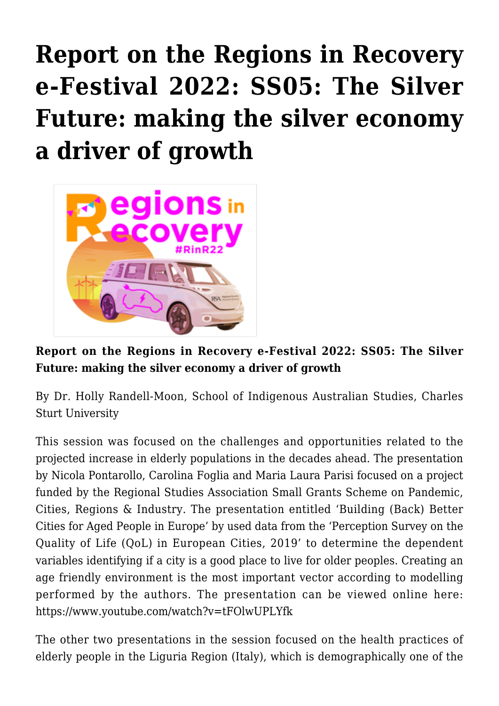## **[Report on the Regions in Recovery](https://regions.regionalstudies.org/ezine/article/issue-12-report-holly-randell-moon/) [e-Festival 2022: SS05: The Silver](https://regions.regionalstudies.org/ezine/article/issue-12-report-holly-randell-moon/) [Future: making the silver economy](https://regions.regionalstudies.org/ezine/article/issue-12-report-holly-randell-moon/) [a driver of growth](https://regions.regionalstudies.org/ezine/article/issue-12-report-holly-randell-moon/)**



**Report on the Regions in Recovery e-Festival 2022: SS05: The Silver Future: making the silver economy a driver of growth**

By Dr. [Holly Randell-Moon,](https://arts-ed.csu.edu.au/schools/indigenous-aust-studies/staff/profiles/teaching-and-research-staff/holly-randell-moon) School of Indigenous Australian Studies, Charles Sturt University

This session was focused on the challenges and opportunities related to the projected increase in elderly populations in the decades ahead. The presentation by Nicola Pontarollo, Carolina Foglia and Maria Laura Parisi focused on a project funded by the [Regional Studies Association Small Grants Scheme on Pandemic,](https://www.regionalstudies.org/funding/small-grant-scheme/) [Cities, Regions & Industry](https://www.regionalstudies.org/funding/small-grant-scheme/). The presentation entitled 'Building (Back) Better Cities for Aged People in Europe' by used data from the 'Perception Survey on the Quality of Life (QoL) in European Cities, 2019' to determine the dependent variables identifying if a city is a good place to live for older peoples. Creating an age friendly environment is the most important vector according to modelling performed by the authors. The presentation can be viewed online here: <https://www.youtube.com/watch?v=tFOlwUPLYfk>

The other two presentations in the session focused on the health practices of elderly people in the Liguria Region (Italy), which is demographically one of the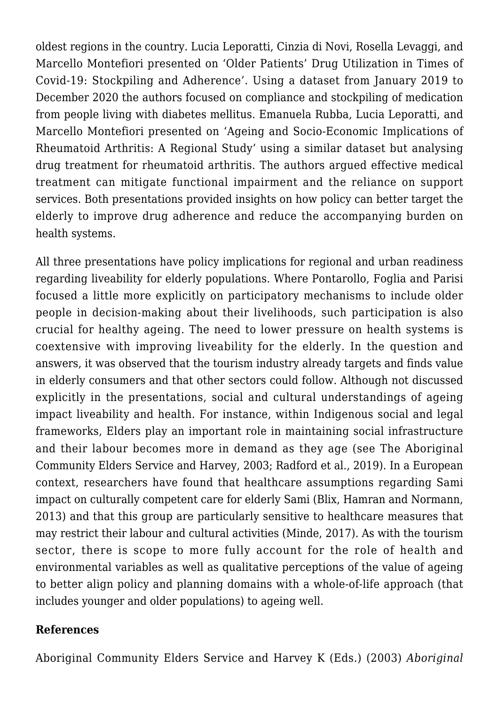oldest regions in the country. Lucia Leporatti, Cinzia di Novi, Rosella Levaggi, and Marcello Montefiori presented on 'Older Patients' Drug Utilization in Times of Covid-19: Stockpiling and Adherence'. Using a dataset from January 2019 to December 2020 the authors focused on compliance and stockpiling of medication from people living with diabetes mellitus. Emanuela Rubba, Lucia Leporatti, and Marcello Montefiori presented on 'Ageing and Socio-Economic Implications of Rheumatoid Arthritis: A Regional Study' using a similar dataset but analysing drug treatment for rheumatoid arthritis. The authors argued effective medical treatment can mitigate functional impairment and the reliance on support services. Both presentations provided insights on how policy can better target the elderly to improve drug adherence and reduce the accompanying burden on health systems.

All three presentations have policy implications for regional and urban readiness regarding liveability for elderly populations. Where Pontarollo, Foglia and Parisi focused a little more explicitly on participatory mechanisms to include older people in decision-making about their livelihoods, such participation is also crucial for healthy ageing. The need to lower pressure on health systems is coextensive with improving liveability for the elderly. In the question and answers, it was observed that the tourism industry already targets and finds value in elderly consumers and that other sectors could follow. Although not discussed explicitly in the presentations, social and cultural understandings of ageing impact liveability and health. For instance, within Indigenous social and legal frameworks, Elders play an important role in maintaining social infrastructure and their labour becomes more in demand as they age (see The Aboriginal Community Elders Service and Harvey, 2003; Radford et al., 2019). In a European context, researchers have found that healthcare assumptions regarding Sami impact on culturally competent care for elderly Sami (Blix, Hamran and Normann, 2013) and that this group are particularly sensitive to healthcare measures that may restrict their labour and cultural activities (Minde, 2017). As with the tourism sector, there is scope to more fully account for the role of health and environmental variables as well as qualitative perceptions of the value of ageing to better align policy and planning domains with a whole-of-life approach (that includes younger and older populations) to ageing well.

## **References**

Aboriginal Community Elders Service and Harvey K (Eds.) (2003) *Aboriginal*